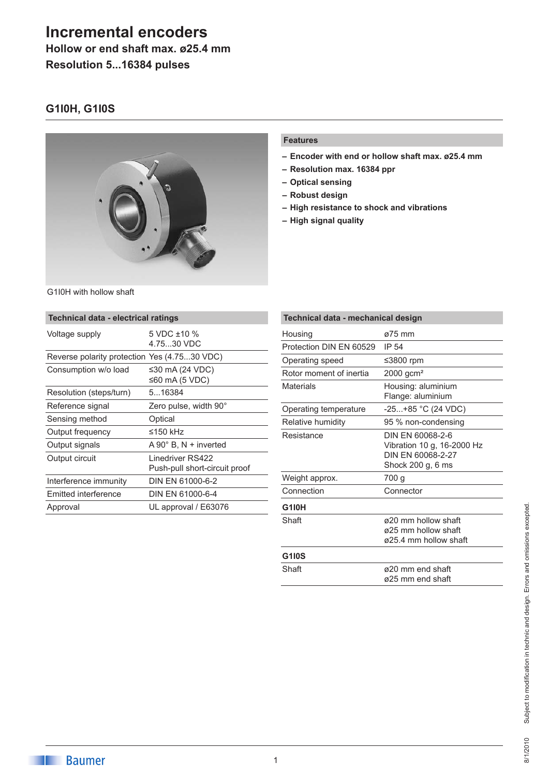# **Incremental encoders**

**Hollow or end shaft max. ø25.4 mm**

**Resolution 5...16384 pulses**

### **G1I0H, G1I0S**



#### **Features**

- **– Encoder with end or hollow shaft max. ø25.4 mm**
- **– Resolution max. 16384 ppr**
- **– Optical sensing**
- **– Robust design**
- **– High resistance to shock and vibrations**
- **– High signal quality**

|  |  | G1I0H with hollow shaft |  |
|--|--|-------------------------|--|
|  |  |                         |  |

| Technical data - electrical ratings          |                                                   |  |  |  |
|----------------------------------------------|---------------------------------------------------|--|--|--|
| Voltage supply                               | 5 VDC ±10 %<br>4.7530 VDC                         |  |  |  |
| Reverse polarity protection Yes (4.7530 VDC) |                                                   |  |  |  |
| Consumption w/o load                         | ≤30 mA (24 VDC)<br>≤60 mA (5 VDC)                 |  |  |  |
| Resolution (steps/turn)                      | 516384                                            |  |  |  |
| Reference signal                             | Zero pulse, width 90°                             |  |  |  |
| Sensing method                               | Optical                                           |  |  |  |
| Output frequency                             | ≤150 kHz                                          |  |  |  |
| Output signals                               | $A 90^\circ$ B, N + inverted                      |  |  |  |
| Output circuit                               | Linedriver RS422<br>Push-pull short-circuit proof |  |  |  |
| Interference immunity                        | DIN EN 61000-6-2                                  |  |  |  |
| Emitted interference                         | DIN EN 61000-6-4                                  |  |  |  |
| Approval                                     | UL approval / E63076                              |  |  |  |

| Technical data - mechanical design |                                                                                          |  |  |  |
|------------------------------------|------------------------------------------------------------------------------------------|--|--|--|
| Housing                            | $\varnothing$ 75 mm                                                                      |  |  |  |
| Protection DIN EN 60529            | IP 54                                                                                    |  |  |  |
| Operating speed                    | ≤3800 rpm                                                                                |  |  |  |
| Rotor moment of inertia            | $2000$ gcm <sup>2</sup>                                                                  |  |  |  |
| <b>Materials</b>                   | Housing: aluminium<br>Flange: aluminium                                                  |  |  |  |
| Operating temperature              | $-25+85$ °C (24 VDC)                                                                     |  |  |  |
| Relative humidity                  | 95 % non-condensing                                                                      |  |  |  |
| Resistance                         | DIN FN 60068-2-6<br>Vibration 10 g, 16-2000 Hz<br>DIN FN 60068-2-27<br>Shock 200 g, 6 ms |  |  |  |
| Weight approx.                     | 700 g                                                                                    |  |  |  |
| Connection                         | Connector                                                                                |  |  |  |
| <b>G1I0H</b>                       |                                                                                          |  |  |  |
| Shaft                              | ø20 mm hollow shaft<br>ø25 mm hollow shaft<br>ø25.4 mm hollow shaft                      |  |  |  |
| G1I0S                              |                                                                                          |  |  |  |
| Shaft                              | ø20 mm end shaft<br>ø25 mm end shaft                                                     |  |  |  |

# Subject to modification in technic and design. Errors and omissions excepted. Subject to modification in technic and design. Errors and omissions excepted. 8/1/2010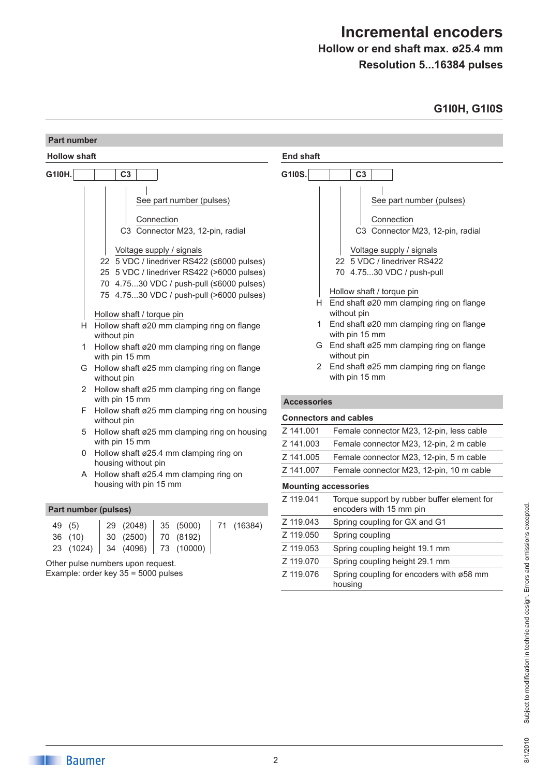# **Incremental encoders**

## **Hollow or end shaft max. ø25.4 mm Resolution 5...16384 pulses**

## **G1I0H, G1I0S**

|                                                                                                                                                                                                                                                                                                                                                                                                                                                                                                                                                                                                                                                              | Part number                                                              |                                                                                                                                                                                                                                                                                                                                                                                                                                                                                                                         |  |  |
|--------------------------------------------------------------------------------------------------------------------------------------------------------------------------------------------------------------------------------------------------------------------------------------------------------------------------------------------------------------------------------------------------------------------------------------------------------------------------------------------------------------------------------------------------------------------------------------------------------------------------------------------------------------|--------------------------------------------------------------------------|-------------------------------------------------------------------------------------------------------------------------------------------------------------------------------------------------------------------------------------------------------------------------------------------------------------------------------------------------------------------------------------------------------------------------------------------------------------------------------------------------------------------------|--|--|
| <b>Hollow shaft</b>                                                                                                                                                                                                                                                                                                                                                                                                                                                                                                                                                                                                                                          |                                                                          | <b>End shaft</b>                                                                                                                                                                                                                                                                                                                                                                                                                                                                                                        |  |  |
| G110H.                                                                                                                                                                                                                                                                                                                                                                                                                                                                                                                                                                                                                                                       | C <sub>3</sub>                                                           | G1I0S.<br>C <sub>3</sub>                                                                                                                                                                                                                                                                                                                                                                                                                                                                                                |  |  |
| See part number (pulses)<br>Connection<br>C3 Connector M23, 12-pin, radial<br>Voltage supply / signals<br>22 5 VDC / linedriver RS422 (≤6000 pulses)<br>25 5 VDC / linedriver RS422 (>6000 pulses)<br>70 4.7530 VDC / push-pull (≤6000 pulses)<br>75 4.7530 VDC / push-pull (>6000 pulses)<br>Hollow shaft / torque pin<br>H Hollow shaft ø20 mm clamping ring on flange<br>without pin<br>Hollow shaft ø20 mm clamping ring on flange<br>with pin 15 mm<br>G Hollow shaft ø25 mm clamping ring on flange<br>without pin<br>2 Hollow shaft ø25 mm clamping ring on flange<br>with pin 15 mm<br>F Hollow shaft ø25 mm clamping ring on housing<br>without pin |                                                                          | See part number (pulses)<br>Connection<br>C3 Connector M23, 12-pin, radial<br>Voltage supply / signals<br>22 5 VDC / linedriver RS422<br>70 4.7530 VDC / push-pull<br>Hollow shaft / torque pin<br>End shaft ø20 mm clamping ring on flange<br>Н.<br>without pin<br>End shaft ø20 mm clamping ring on flange<br>1.<br>with pin 15 mm<br>G End shaft ø25 mm clamping ring on flange<br>without pin<br>2 End shaft ø25 mm clamping ring on flange<br>with pin 15 mm<br><b>Accessories</b><br><b>Connectors and cables</b> |  |  |
| 5                                                                                                                                                                                                                                                                                                                                                                                                                                                                                                                                                                                                                                                            | Hollow shaft ø25 mm clamping ring on housing<br>with pin 15 mm           | Z 141.001<br>Female connector M23, 12-pin, less cable<br>Z 141.003<br>Female connector M23, 12-pin, 2 m cable                                                                                                                                                                                                                                                                                                                                                                                                           |  |  |
|                                                                                                                                                                                                                                                                                                                                                                                                                                                                                                                                                                                                                                                              | 0 Hollow shaft ø25.4 mm clamping ring on                                 | Z 141.005<br>Female connector M23, 12-pin, 5 m cable                                                                                                                                                                                                                                                                                                                                                                                                                                                                    |  |  |
|                                                                                                                                                                                                                                                                                                                                                                                                                                                                                                                                                                                                                                                              | housing without pin<br>A Hollow shaft ø25.4 mm clamping ring on          | Z 141.007<br>Female connector M23, 12-pin, 10 m cable                                                                                                                                                                                                                                                                                                                                                                                                                                                                   |  |  |
|                                                                                                                                                                                                                                                                                                                                                                                                                                                                                                                                                                                                                                                              | housing with pin 15 mm                                                   | <b>Mounting accessories</b>                                                                                                                                                                                                                                                                                                                                                                                                                                                                                             |  |  |
| Part number (pulses)                                                                                                                                                                                                                                                                                                                                                                                                                                                                                                                                                                                                                                         |                                                                          | Z 119.041<br>Torque support by rubber buffer element for<br>encoders with 15 mm pin                                                                                                                                                                                                                                                                                                                                                                                                                                     |  |  |
| (5)<br>49                                                                                                                                                                                                                                                                                                                                                                                                                                                                                                                                                                                                                                                    | (5000)<br>(16384)<br>29<br>(2048)<br>35<br>71                            | Z 119.043<br>Spring coupling for GX and G1                                                                                                                                                                                                                                                                                                                                                                                                                                                                              |  |  |
| 36 (10)                                                                                                                                                                                                                                                                                                                                                                                                                                                                                                                                                                                                                                                      | 30<br>(2500)<br>(8192)<br>70                                             | Z 119.050<br>Spring coupling                                                                                                                                                                                                                                                                                                                                                                                                                                                                                            |  |  |
| 23 (1024)                                                                                                                                                                                                                                                                                                                                                                                                                                                                                                                                                                                                                                                    | 73 (10000)<br>34 (4096)                                                  | Z 119.053<br>Spring coupling height 19.1 mm                                                                                                                                                                                                                                                                                                                                                                                                                                                                             |  |  |
|                                                                                                                                                                                                                                                                                                                                                                                                                                                                                                                                                                                                                                                              | Other pulse numbers upon request.<br>Example: order key 35 = 5000 pulses | Z 119.070<br>Spring coupling height 29.1 mm                                                                                                                                                                                                                                                                                                                                                                                                                                                                             |  |  |
|                                                                                                                                                                                                                                                                                                                                                                                                                                                                                                                                                                                                                                                              |                                                                          | Z 119.076<br>Spring coupling for encoders with ø58 mm                                                                                                                                                                                                                                                                                                                                                                                                                                                                   |  |  |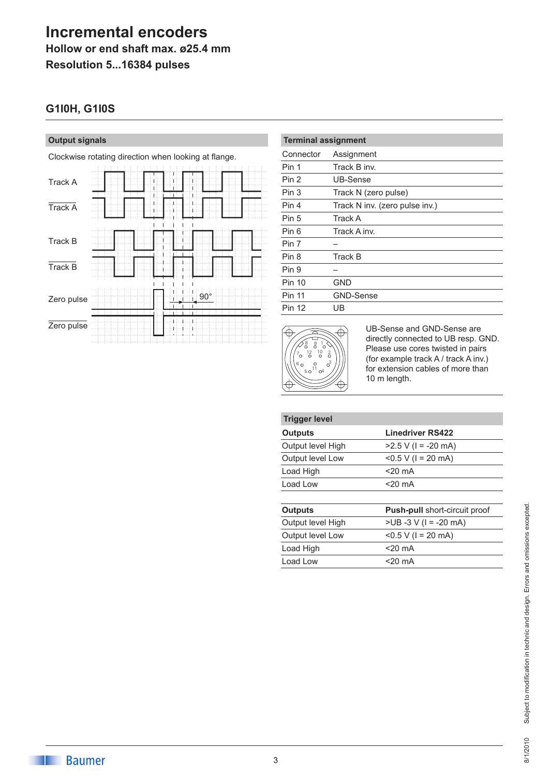## **Incremental encoders Hollow or end shaft max. ø25.4 mm**

**Resolution 5...16384 pulses**

## **G1I0H, G1I0S**

#### **Output signals**

Clockwise rotating direction when looking at flange.

| Track A    |  | L<br>I. | Н |            |  |
|------------|--|---------|---|------------|--|
| Track A    |  |         |   |            |  |
| Track B    |  |         |   |            |  |
| Track B    |  |         |   |            |  |
| Zero pulse |  |         |   | $90^\circ$ |  |
| Zero pulse |  |         |   |            |  |

| <b>Terminal assignment</b> |                                |  |  |  |
|----------------------------|--------------------------------|--|--|--|
| Connector                  | Assignment                     |  |  |  |
| Pin 1                      | Track B inv.                   |  |  |  |
| Pin 2                      | UB-Sense                       |  |  |  |
| Pin 3                      | Track N (zero pulse)           |  |  |  |
| Pin 4                      | Track N inv. (zero pulse inv.) |  |  |  |
| Pin 5                      | Track A                        |  |  |  |
| Pin 6                      | Track A inv.                   |  |  |  |
| Pin 7                      |                                |  |  |  |
| Pin 8                      | Track B                        |  |  |  |
| Pin 9                      |                                |  |  |  |
| <b>Pin 10</b>              | GND                            |  |  |  |
| <b>Pin 11</b>              | <b>GND-Sense</b>               |  |  |  |
| <b>Pin 12</b>              | UB                             |  |  |  |



UB-Sense and GND-Sense are directly connected to UB resp. GND. Please use cores twisted in pairs (for example track A / track A inv.) for extension cables of more than 10 m length.

| <b>Trigger level</b> |                                      |
|----------------------|--------------------------------------|
| <b>Outputs</b>       | <b>Linedriver RS422</b>              |
| Output level High    | $>2.5$ V (I = -20 mA)                |
| Output level Low     | $< 0.5 V$ (1 = 20 mA)                |
| Load High            | $<$ 20 mA                            |
| Load Low             | $<$ 20 mA                            |
| <b>Outputs</b>       | <b>Push-pull short-circuit proof</b> |
| Output level High    | $>UB -3 V (I = -20 mA)$              |
| Output level Low     | $< 0.5 V$ (1 = 20 mA)                |
| Load High            | $<$ 20 mA                            |
| Load Low             | <20 mA                               |